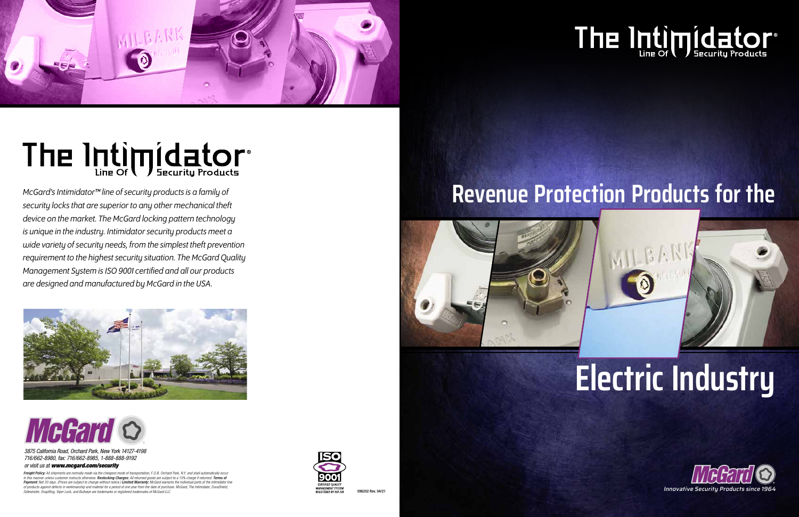

# The Intimpidator®

*McGard's Intimidator™ line of security products is a family of security locks that are superior to any other mechanical theft device on the market. The McGard locking pattern technology is unique in the industry. Intimidator security products meet a wide variety of security needs, from the simplest theft prevention requirement to the highest security situation. The McGard Quality Management System is ISO 9001 certified and all our products are designed and manufactured by McGard in the USA.*







*3875 California Road, Orchard Park, New York 14127-4198 716/662-8980, fax: 716/662-8985, 1-888-888-9192 or visit us at www.mcgard.com/security*





## The Intimpidator®

## **Revenue Protection Products for the**

**Freight Policy:** All shipments are normally made via the cheapest mode of transportation, F.O.B. Orchard Park, N.Y. and shall automatically occur<br>in this manner unless customer instructs otherwise. **Restocking Charges:** A Payment: Net 30 days. (Prices are subject to change without notice.) Limited Warranty: McGard warrants the individual parts of the Intimidator line *of products against defects in workmanship and material for a period of one year from the date of purchase. McGard, The Intimidator, DuraShield, Sidewinder, SnapRing, Viper Lock, and Bullseye are trademarks or registered trademarks of McGard LLC.*

## **Electric Industry**